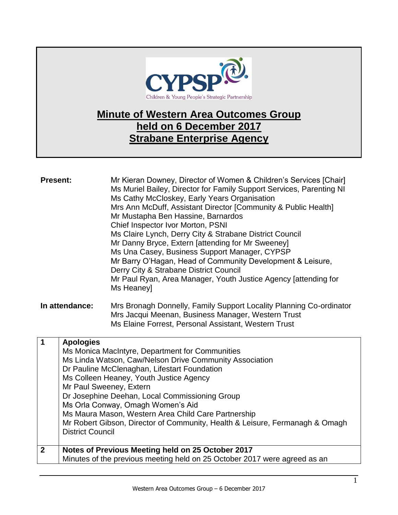

# **Minute of Western Area Outcomes Group held on 6 December 2017 Strabane Enterprise Agency**

| <b>Present:</b> |                                                                                                                                                                                                                                                                                                                                                                                                                                                                                                               | Mr Kieran Downey, Director of Women & Children's Services [Chair]<br>Ms Muriel Bailey, Director for Family Support Services, Parenting NI<br>Ms Cathy McCloskey, Early Years Organisation<br>Mrs Ann McDuff, Assistant Director [Community & Public Health]<br>Mr Mustapha Ben Hassine, Barnardos<br>Chief Inspector Ivor Morton, PSNI<br>Ms Claire Lynch, Derry City & Strabane District Council<br>Mr Danny Bryce, Extern [attending for Mr Sweeney]<br>Ms Una Casey, Business Support Manager, CYPSP<br>Mr Barry O'Hagan, Head of Community Development & Leisure,<br>Derry City & Strabane District Council<br>Mr Paul Ryan, Area Manager, Youth Justice Agency [attending for<br>Ms Heaney] |  |
|-----------------|---------------------------------------------------------------------------------------------------------------------------------------------------------------------------------------------------------------------------------------------------------------------------------------------------------------------------------------------------------------------------------------------------------------------------------------------------------------------------------------------------------------|--------------------------------------------------------------------------------------------------------------------------------------------------------------------------------------------------------------------------------------------------------------------------------------------------------------------------------------------------------------------------------------------------------------------------------------------------------------------------------------------------------------------------------------------------------------------------------------------------------------------------------------------------------------------------------------------------|--|
| In attendance:  |                                                                                                                                                                                                                                                                                                                                                                                                                                                                                                               | Mrs Bronagh Donnelly, Family Support Locality Planning Co-ordinator<br>Mrs Jacqui Meenan, Business Manager, Western Trust<br>Ms Elaine Forrest, Personal Assistant, Western Trust                                                                                                                                                                                                                                                                                                                                                                                                                                                                                                                |  |
| $\mathbf 1$     | <b>Apologies</b><br>Ms Monica MacIntyre, Department for Communities<br>Ms Linda Watson, Caw/Nelson Drive Community Association<br>Dr Pauline McClenaghan, Lifestart Foundation<br>Ms Colleen Heaney, Youth Justice Agency<br>Mr Paul Sweeney, Extern<br>Dr Josephine Deehan, Local Commissioning Group<br>Ms Orla Conway, Omagh Women's Aid<br>Ms Maura Mason, Western Area Child Care Partnership<br>Mr Robert Gibson, Director of Community, Health & Leisure, Fermanagh & Omagh<br><b>District Council</b> |                                                                                                                                                                                                                                                                                                                                                                                                                                                                                                                                                                                                                                                                                                  |  |
| $\mathbf{2}$    |                                                                                                                                                                                                                                                                                                                                                                                                                                                                                                               | Notes of Previous Meeting held on 25 October 2017<br>Minutes of the previous meeting held on 25 October 2017 were agreed as an                                                                                                                                                                                                                                                                                                                                                                                                                                                                                                                                                                   |  |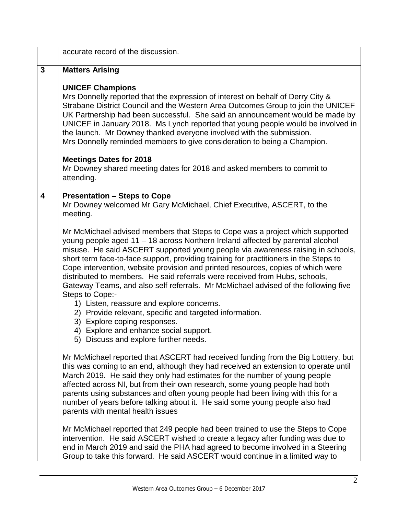|                                                                                                                                    | accurate record of the discussion.                                                                                                                                                                                                                                                                                                                                                                                                                                                                                                                                                                                                                                                                           |
|------------------------------------------------------------------------------------------------------------------------------------|--------------------------------------------------------------------------------------------------------------------------------------------------------------------------------------------------------------------------------------------------------------------------------------------------------------------------------------------------------------------------------------------------------------------------------------------------------------------------------------------------------------------------------------------------------------------------------------------------------------------------------------------------------------------------------------------------------------|
| $\mathbf{3}$                                                                                                                       | <b>Matters Arising</b>                                                                                                                                                                                                                                                                                                                                                                                                                                                                                                                                                                                                                                                                                       |
|                                                                                                                                    | <b>UNICEF Champions</b><br>Mrs Donnelly reported that the expression of interest on behalf of Derry City &<br>Strabane District Council and the Western Area Outcomes Group to join the UNICEF<br>UK Partnership had been successful. She said an announcement would be made by<br>UNICEF in January 2018. Ms Lynch reported that young people would be involved in<br>the launch. Mr Downey thanked everyone involved with the submission.<br>Mrs Donnelly reminded members to give consideration to being a Champion.                                                                                                                                                                                      |
|                                                                                                                                    | <b>Meetings Dates for 2018</b><br>Mr Downey shared meeting dates for 2018 and asked members to commit to<br>attending.                                                                                                                                                                                                                                                                                                                                                                                                                                                                                                                                                                                       |
| $\overline{\mathbf{4}}$                                                                                                            | <b>Presentation - Steps to Cope</b><br>Mr Downey welcomed Mr Gary McMichael, Chief Executive, ASCERT, to the<br>meeting.                                                                                                                                                                                                                                                                                                                                                                                                                                                                                                                                                                                     |
| Steps to Cope:-<br>3) Explore coping responses.<br>4) Explore and enhance social support.<br>5) Discuss and explore further needs. | Mr McMichael advised members that Steps to Cope was a project which supported<br>young people aged 11 - 18 across Northern Ireland affected by parental alcohol<br>misuse. He said ASCERT supported young people via awareness raising in schools,<br>short term face-to-face support, providing training for practitioners in the Steps to<br>Cope intervention, website provision and printed resources, copies of which were<br>distributed to members. He said referrals were received from Hubs, schools,<br>Gateway Teams, and also self referrals. Mr McMichael advised of the following five<br>1) Listen, reassure and explore concerns.<br>2) Provide relevant, specific and targeted information. |
|                                                                                                                                    | Mr McMichael reported that ASCERT had received funding from the Big Lotttery, but<br>this was coming to an end, although they had received an extension to operate until<br>March 2019. He said they only had estimates for the number of young people<br>affected across NI, but from their own research, some young people had both<br>parents using substances and often young people had been living with this for a<br>number of years before talking about it. He said some young people also had<br>parents with mental health issues                                                                                                                                                                 |
|                                                                                                                                    | Mr McMichael reported that 249 people had been trained to use the Steps to Cope<br>intervention. He said ASCERT wished to create a legacy after funding was due to<br>end in March 2019 and said the PHA had agreed to become involved in a Steering<br>Group to take this forward. He said ASCERT would continue in a limited way to                                                                                                                                                                                                                                                                                                                                                                        |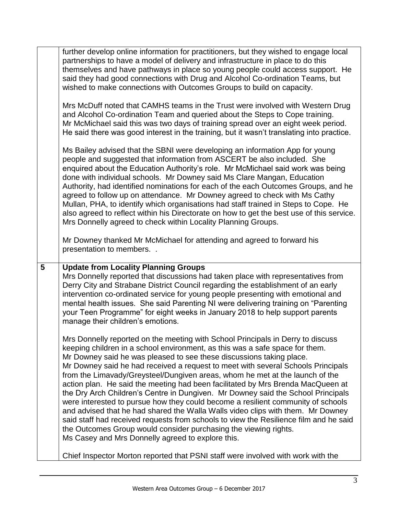|                                                                                                                                                                                                                                                                                                                                                                                                                                                                                                                                                                                                                                                                                                                                                | further develop online information for practitioners, but they wished to engage local<br>partnerships to have a model of delivery and infrastructure in place to do this<br>themselves and have pathways in place so young people could access support. He<br>said they had good connections with Drug and Alcohol Co-ordination Teams, but<br>wished to make connections with Outcomes Groups to build on capacity.                                                                                                                                                                                                                                                                                                                                                                                                                                                                                                   |  |  |
|------------------------------------------------------------------------------------------------------------------------------------------------------------------------------------------------------------------------------------------------------------------------------------------------------------------------------------------------------------------------------------------------------------------------------------------------------------------------------------------------------------------------------------------------------------------------------------------------------------------------------------------------------------------------------------------------------------------------------------------------|------------------------------------------------------------------------------------------------------------------------------------------------------------------------------------------------------------------------------------------------------------------------------------------------------------------------------------------------------------------------------------------------------------------------------------------------------------------------------------------------------------------------------------------------------------------------------------------------------------------------------------------------------------------------------------------------------------------------------------------------------------------------------------------------------------------------------------------------------------------------------------------------------------------------|--|--|
|                                                                                                                                                                                                                                                                                                                                                                                                                                                                                                                                                                                                                                                                                                                                                | Mrs McDuff noted that CAMHS teams in the Trust were involved with Western Drug<br>and Alcohol Co-ordination Team and queried about the Steps to Cope training.<br>Mr McMichael said this was two days of training spread over an eight week period.<br>He said there was good interest in the training, but it wasn't translating into practice.                                                                                                                                                                                                                                                                                                                                                                                                                                                                                                                                                                       |  |  |
| Ms Bailey advised that the SBNI were developing an information App for young<br>people and suggested that information from ASCERT be also included. She<br>enquired about the Education Authority's role. Mr McMichael said work was being<br>done with individual schools. Mr Downey said Ms Clare Mangan, Education<br>Authority, had identified nominations for each of the each Outcomes Groups, and he<br>agreed to follow up on attendance. Mr Downey agreed to check with Ms Cathy<br>Mullan, PHA, to identify which organisations had staff trained in Steps to Cope. He<br>also agreed to reflect within his Directorate on how to get the best use of this service.<br>Mrs Donnelly agreed to check within Locality Planning Groups. |                                                                                                                                                                                                                                                                                                                                                                                                                                                                                                                                                                                                                                                                                                                                                                                                                                                                                                                        |  |  |
|                                                                                                                                                                                                                                                                                                                                                                                                                                                                                                                                                                                                                                                                                                                                                | Mr Downey thanked Mr McMichael for attending and agreed to forward his<br>presentation to members                                                                                                                                                                                                                                                                                                                                                                                                                                                                                                                                                                                                                                                                                                                                                                                                                      |  |  |
| 5                                                                                                                                                                                                                                                                                                                                                                                                                                                                                                                                                                                                                                                                                                                                              | <b>Update from Locality Planning Groups</b><br>Mrs Donnelly reported that discussions had taken place with representatives from<br>Derry City and Strabane District Council regarding the establishment of an early<br>intervention co-ordinated service for young people presenting with emotional and<br>mental health issues. She said Parenting NI were delivering training on "Parenting<br>your Teen Programme" for eight weeks in January 2018 to help support parents<br>manage their children's emotions.                                                                                                                                                                                                                                                                                                                                                                                                     |  |  |
|                                                                                                                                                                                                                                                                                                                                                                                                                                                                                                                                                                                                                                                                                                                                                | Mrs Donnelly reported on the meeting with School Principals in Derry to discuss<br>keeping children in a school environment, as this was a safe space for them.<br>Mr Downey said he was pleased to see these discussions taking place.<br>Mr Downey said he had received a request to meet with several Schools Principals<br>from the Limavady/Greysteel/Dungiven areas, whom he met at the launch of the<br>action plan. He said the meeting had been facilitated by Mrs Brenda MacQueen at<br>the Dry Arch Children's Centre in Dungiven. Mr Downey said the School Principals<br>were interested to pursue how they could become a resilient community of schools<br>and advised that he had shared the Walla Walls video clips with them. Mr Downey<br>said staff had received requests from schools to view the Resilience film and he said<br>the Outcomes Group would consider purchasing the viewing rights. |  |  |
|                                                                                                                                                                                                                                                                                                                                                                                                                                                                                                                                                                                                                                                                                                                                                | Ms Casey and Mrs Donnelly agreed to explore this.                                                                                                                                                                                                                                                                                                                                                                                                                                                                                                                                                                                                                                                                                                                                                                                                                                                                      |  |  |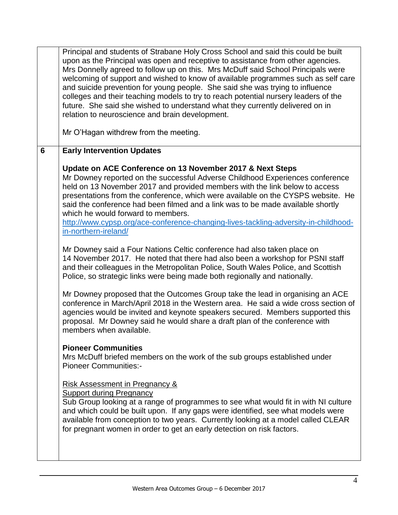|   | Principal and students of Strabane Holy Cross School and said this could be built<br>upon as the Principal was open and receptive to assistance from other agencies.<br>Mrs Donnelly agreed to follow up on this. Mrs McDuff said School Principals were<br>welcoming of support and wished to know of available programmes such as self care<br>and suicide prevention for young people. She said she was trying to influence<br>colleges and their teaching models to try to reach potential nursery leaders of the<br>future. She said she wished to understand what they currently delivered on in<br>relation to neuroscience and brain development.<br>Mr O'Hagan withdrew from the meeting.                                                                                                                                                                                                                                                                                                                                                                                                                                                                                                                            |  |  |  |
|---|-------------------------------------------------------------------------------------------------------------------------------------------------------------------------------------------------------------------------------------------------------------------------------------------------------------------------------------------------------------------------------------------------------------------------------------------------------------------------------------------------------------------------------------------------------------------------------------------------------------------------------------------------------------------------------------------------------------------------------------------------------------------------------------------------------------------------------------------------------------------------------------------------------------------------------------------------------------------------------------------------------------------------------------------------------------------------------------------------------------------------------------------------------------------------------------------------------------------------------|--|--|--|
| 6 | <b>Early Intervention Updates</b>                                                                                                                                                                                                                                                                                                                                                                                                                                                                                                                                                                                                                                                                                                                                                                                                                                                                                                                                                                                                                                                                                                                                                                                             |  |  |  |
|   | Update on ACE Conference on 13 November 2017 & Next Steps<br>Mr Downey reported on the successful Adverse Childhood Experiences conference<br>held on 13 November 2017 and provided members with the link below to access<br>presentations from the conference, which were available on the CYSPS website. He<br>said the conference had been filmed and a link was to be made available shortly<br>which he would forward to members.<br>http://www.cypsp.org/ace-conference-changing-lives-tackling-adversity-in-childhood-<br>in-northern-ireland/<br>Mr Downey said a Four Nations Celtic conference had also taken place on<br>14 November 2017. He noted that there had also been a workshop for PSNI staff<br>and their colleagues in the Metropolitan Police, South Wales Police, and Scottish<br>Police, so strategic links were being made both regionally and nationally.<br>Mr Downey proposed that the Outcomes Group take the lead in organising an ACE<br>conference in March/April 2018 in the Western area. He said a wide cross section of<br>agencies would be invited and keynote speakers secured. Members supported this<br>proposal. Mr Downey said he would share a draft plan of the conference with |  |  |  |
|   | members when available.                                                                                                                                                                                                                                                                                                                                                                                                                                                                                                                                                                                                                                                                                                                                                                                                                                                                                                                                                                                                                                                                                                                                                                                                       |  |  |  |
|   | <b>Pioneer Communities</b><br>Mrs McDuff briefed members on the work of the sub groups established under<br><b>Pioneer Communities:-</b>                                                                                                                                                                                                                                                                                                                                                                                                                                                                                                                                                                                                                                                                                                                                                                                                                                                                                                                                                                                                                                                                                      |  |  |  |
|   | <b>Risk Assessment in Pregnancy &amp;</b><br><b>Support during Pregnancy</b><br>Sub Group looking at a range of programmes to see what would fit in with NI culture<br>and which could be built upon. If any gaps were identified, see what models were<br>available from conception to two years. Currently looking at a model called CLEAR<br>for pregnant women in order to get an early detection on risk factors.                                                                                                                                                                                                                                                                                                                                                                                                                                                                                                                                                                                                                                                                                                                                                                                                        |  |  |  |
|   |                                                                                                                                                                                                                                                                                                                                                                                                                                                                                                                                                                                                                                                                                                                                                                                                                                                                                                                                                                                                                                                                                                                                                                                                                               |  |  |  |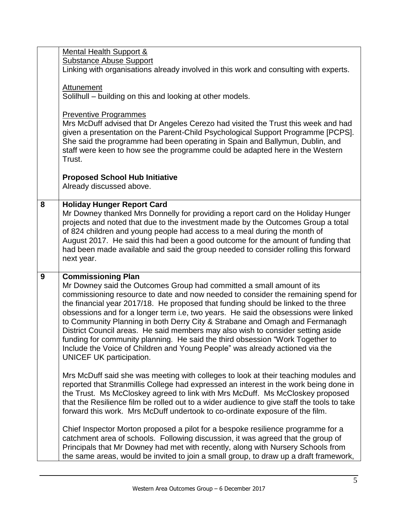|   | Mental Health Support &<br><b>Substance Abuse Support</b><br>Linking with organisations already involved in this work and consulting with experts.<br>Attunement<br>Solilhull – building on this and looking at other models.<br><b>Preventive Programmes</b><br>Mrs McDuff advised that Dr Angeles Cerezo had visited the Trust this week and had<br>given a presentation on the Parent-Child Psychological Support Programme [PCPS].<br>She said the programme had been operating in Spain and Ballymun, Dublin, and<br>staff were keen to how see the programme could be adapted here in the Western<br>Trust.                                                                                                                                                                                                                                                                                                                                                                                                                                                                                                                                                                                                                                                                                                                                                                                                                                                                                                                              |
|---|------------------------------------------------------------------------------------------------------------------------------------------------------------------------------------------------------------------------------------------------------------------------------------------------------------------------------------------------------------------------------------------------------------------------------------------------------------------------------------------------------------------------------------------------------------------------------------------------------------------------------------------------------------------------------------------------------------------------------------------------------------------------------------------------------------------------------------------------------------------------------------------------------------------------------------------------------------------------------------------------------------------------------------------------------------------------------------------------------------------------------------------------------------------------------------------------------------------------------------------------------------------------------------------------------------------------------------------------------------------------------------------------------------------------------------------------------------------------------------------------------------------------------------------------|
|   | <b>Proposed School Hub Initiative</b><br>Already discussed above.                                                                                                                                                                                                                                                                                                                                                                                                                                                                                                                                                                                                                                                                                                                                                                                                                                                                                                                                                                                                                                                                                                                                                                                                                                                                                                                                                                                                                                                                              |
| 8 | <b>Holiday Hunger Report Card</b><br>Mr Downey thanked Mrs Donnelly for providing a report card on the Holiday Hunger<br>projects and noted that due to the investment made by the Outcomes Group a total<br>of 824 children and young people had access to a meal during the month of<br>August 2017. He said this had been a good outcome for the amount of funding that<br>had been made available and said the group needed to consider rolling this forward<br>next year.                                                                                                                                                                                                                                                                                                                                                                                                                                                                                                                                                                                                                                                                                                                                                                                                                                                                                                                                                                                                                                                                 |
| 9 | <b>Commissioning Plan</b><br>Mr Downey said the Outcomes Group had committed a small amount of its<br>commissioning resource to date and now needed to consider the remaining spend for<br>the financial year 2017/18. He proposed that funding should be linked to the three<br>obsessions and for a longer term i.e, two years. He said the obsessions were linked<br>to Community Planning in both Derry City & Strabane and Omagh and Fermanagh<br>District Council areas. He said members may also wish to consider setting aside<br>funding for community planning. He said the third obsession "Work Together to<br>Include the Voice of Children and Young People" was already actioned via the<br><b>UNICEF UK participation.</b><br>Mrs McDuff said she was meeting with colleges to look at their teaching modules and<br>reported that Stranmillis College had expressed an interest in the work being done in<br>the Trust. Ms McCloskey agreed to link with Mrs McDuff. Ms McCloskey proposed<br>that the Resilience film be rolled out to a wider audience to give staff the tools to take<br>forward this work. Mrs McDuff undertook to co-ordinate exposure of the film.<br>Chief Inspector Morton proposed a pilot for a bespoke resilience programme for a<br>catchment area of schools. Following discussion, it was agreed that the group of<br>Principals that Mr Downey had met with recently, along with Nursery Schools from<br>the same areas, would be invited to join a small group, to draw up a draft framework, |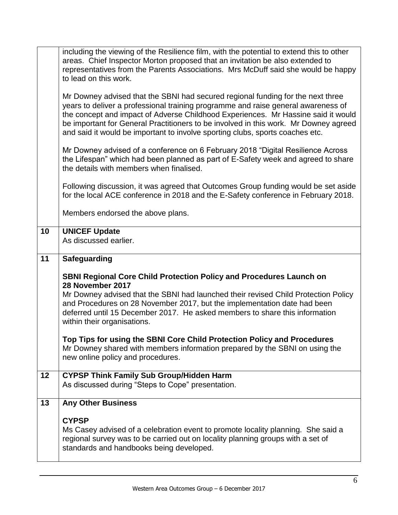|    | including the viewing of the Resilience film, with the potential to extend this to other<br>areas. Chief Inspector Morton proposed that an invitation be also extended to<br>representatives from the Parents Associations. Mrs McDuff said she would be happy                                                                                                                                                                     |  |  |  |
|----|------------------------------------------------------------------------------------------------------------------------------------------------------------------------------------------------------------------------------------------------------------------------------------------------------------------------------------------------------------------------------------------------------------------------------------|--|--|--|
|    | to lead on this work.                                                                                                                                                                                                                                                                                                                                                                                                              |  |  |  |
|    | Mr Downey advised that the SBNI had secured regional funding for the next three<br>years to deliver a professional training programme and raise general awareness of<br>the concept and impact of Adverse Childhood Experiences. Mr Hassine said it would<br>be important for General Practitioners to be involved in this work. Mr Downey agreed<br>and said it would be important to involve sporting clubs, sports coaches etc. |  |  |  |
|    | Mr Downey advised of a conference on 6 February 2018 "Digital Resilience Across"<br>the Lifespan" which had been planned as part of E-Safety week and agreed to share<br>the details with members when finalised.                                                                                                                                                                                                                  |  |  |  |
|    | Following discussion, it was agreed that Outcomes Group funding would be set aside<br>for the local ACE conference in 2018 and the E-Safety conference in February 2018.                                                                                                                                                                                                                                                           |  |  |  |
|    | Members endorsed the above plans.                                                                                                                                                                                                                                                                                                                                                                                                  |  |  |  |
| 10 | <b>UNICEF Update</b>                                                                                                                                                                                                                                                                                                                                                                                                               |  |  |  |
|    | As discussed earlier.                                                                                                                                                                                                                                                                                                                                                                                                              |  |  |  |
| 11 | <b>Safeguarding</b>                                                                                                                                                                                                                                                                                                                                                                                                                |  |  |  |
|    | <b>SBNI Regional Core Child Protection Policy and Procedures Launch on</b>                                                                                                                                                                                                                                                                                                                                                         |  |  |  |
|    | 28 November 2017<br>Mr Downey advised that the SBNI had launched their revised Child Protection Policy<br>and Procedures on 28 November 2017, but the implementation date had been<br>deferred until 15 December 2017. He asked members to share this information<br>within their organisations.                                                                                                                                   |  |  |  |
|    | Top Tips for using the SBNI Core Child Protection Policy and Procedures<br>Mr Downey shared with members information prepared by the SBNI on using the<br>new online policy and procedures.                                                                                                                                                                                                                                        |  |  |  |
| 12 | <b>CYPSP Think Family Sub Group/Hidden Harm</b><br>As discussed during "Steps to Cope" presentation.                                                                                                                                                                                                                                                                                                                               |  |  |  |
| 13 | <b>Any Other Business</b>                                                                                                                                                                                                                                                                                                                                                                                                          |  |  |  |
|    | <b>CYPSP</b><br>Ms Casey advised of a celebration event to promote locality planning. She said a<br>regional survey was to be carried out on locality planning groups with a set of<br>standards and handbooks being developed.                                                                                                                                                                                                    |  |  |  |